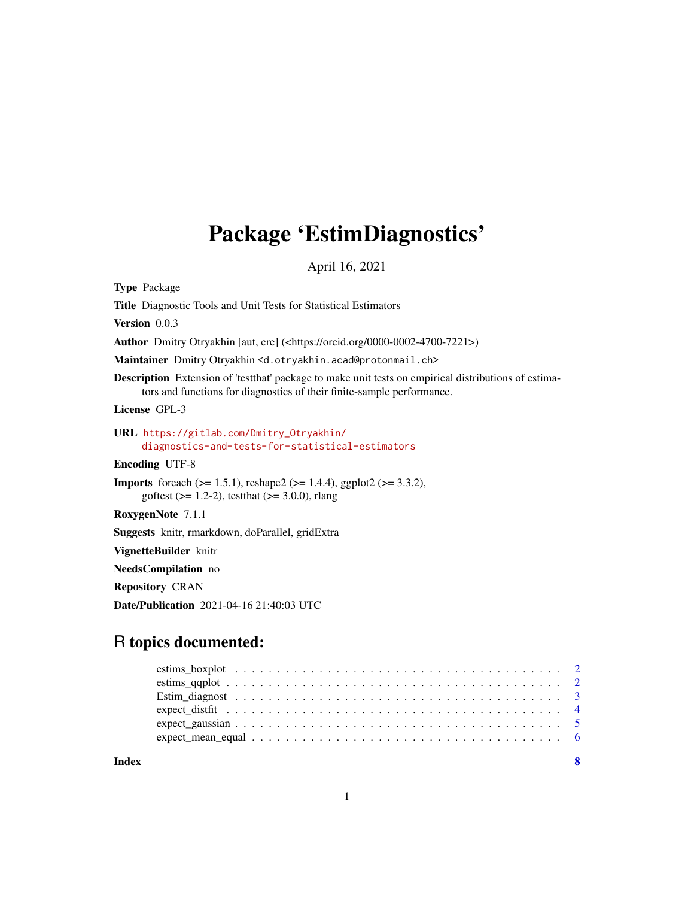## Package 'EstimDiagnostics'

April 16, 2021

<span id="page-0-0"></span>Type Package

Title Diagnostic Tools and Unit Tests for Statistical Estimators

Version 0.0.3

Author Dmitry Otryakhin [aut, cre] (<https://orcid.org/0000-0002-4700-7221>)

Maintainer Dmitry Otryakhin <d.otryakhin.acad@protonmail.ch>

Description Extension of 'testthat' package to make unit tests on empirical distributions of estimators and functions for diagnostics of their finite-sample performance.

License GPL-3

#### URL [https://gitlab.com/Dmitry\\_Otryakhin/](https://gitlab.com/Dmitry_Otryakhin/diagnostics-and-tests-for-statistical-estimators) [diagnostics-and-tests-for-statistical-estimators](https://gitlab.com/Dmitry_Otryakhin/diagnostics-and-tests-for-statistical-estimators)

Encoding UTF-8

**Imports** foreach ( $>= 1.5.1$ ), reshape2 ( $>= 1.4.4$ ), ggplot2 ( $>= 3.3.2$ ), goftest ( $>= 1.2-2$ ), testthat ( $>= 3.0.0$ ), rlang

RoxygenNote 7.1.1

Suggests knitr, rmarkdown, doParallel, gridExtra

VignetteBuilder knitr

NeedsCompilation no

Repository CRAN

Date/Publication 2021-04-16 21:40:03 UTC

### R topics documented:

| $expect\_mean\_equal \dots \dots \dots \dots \dots \dots \dots \dots \dots \dots \dots \dots \dots \dots \dots \dots \dots$ |  |  |  |  |  |  |  |  |  |  |  |  |  |  |  |  |  |
|-----------------------------------------------------------------------------------------------------------------------------|--|--|--|--|--|--|--|--|--|--|--|--|--|--|--|--|--|
|                                                                                                                             |  |  |  |  |  |  |  |  |  |  |  |  |  |  |  |  |  |

**Index** [8](#page-7-0) **8**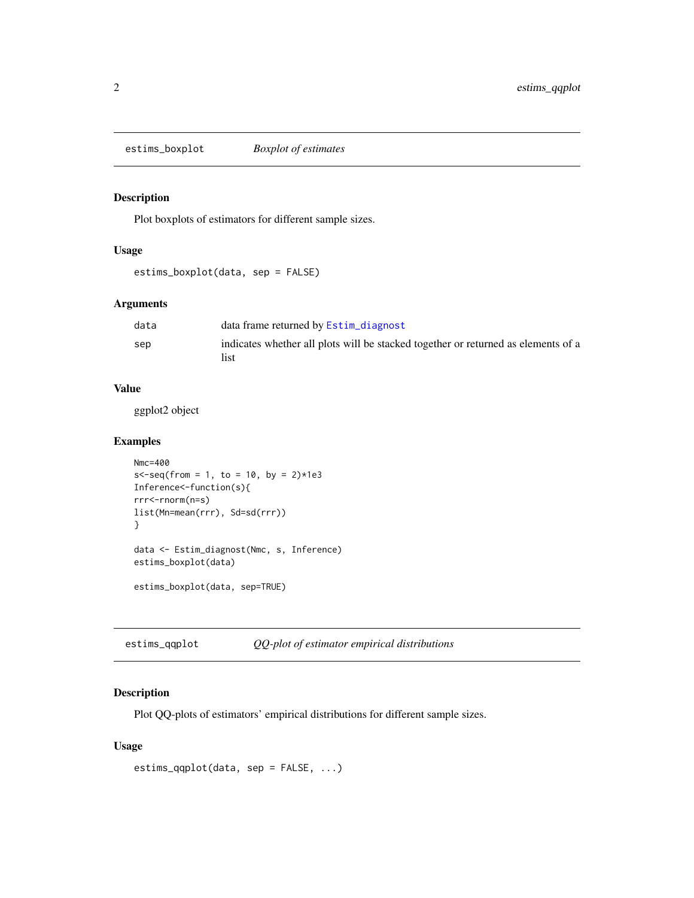<span id="page-1-0"></span>estims\_boxplot *Boxplot of estimates*

#### Description

Plot boxplots of estimators for different sample sizes.

#### Usage

estims\_boxplot(data, sep = FALSE)

#### Arguments

| data | data frame returned by Estim_diagnost                                                     |
|------|-------------------------------------------------------------------------------------------|
| sep  | indicates whether all plots will be stacked together or returned as elements of a<br>list |

#### Value

ggplot2 object

#### Examples

```
Nmc=400
s - seq(from = 1, to = 10, by = 2) *1e3
Inference<-function(s){
rrr<-rnorm(n=s)
list(Mn=mean(rrr), Sd=sd(rrr))
}
data <- Estim_diagnost(Nmc, s, Inference)
estims_boxplot(data)
```
estims\_boxplot(data, sep=TRUE)

estims\_qqplot *QQ-plot of estimator empirical distributions*

#### Description

Plot QQ-plots of estimators' empirical distributions for different sample sizes.

#### Usage

```
estims_qqplot(data, sep = FALSE, ...)
```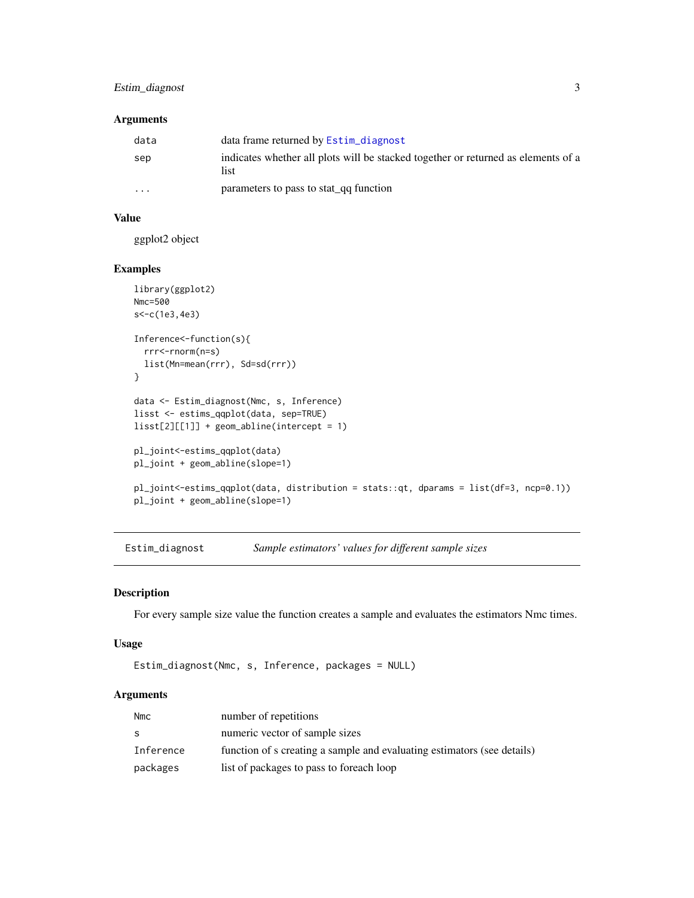#### <span id="page-2-0"></span>Estim\_diagnost 3

#### Arguments

| data     | data frame returned by Estim_diagnost                                                     |
|----------|-------------------------------------------------------------------------------------------|
| sep      | indicates whether all plots will be stacked together or returned as elements of a<br>list |
| $\cdots$ | parameters to pass to stat_qq function                                                    |

#### Value

ggplot2 object

#### Examples

```
library(ggplot2)
Nmc=500
s<-c(1e3,4e3)
Inference<-function(s){
  rrr<-rnorm(n=s)
  list(Mn=mean(rrr), Sd=sd(rrr))
}
data <- Estim_diagnost(Nmc, s, Inference)
lisst <- estims_qqplot(data, sep=TRUE)
lisst[2][[1]] + geom_abline(intercept = 1)
pl_joint<-estims_qqplot(data)
pl_joint + geom_abline(slope=1)
pl_joint<-estims_qqplot(data, distribution = stats::qt, dparams = list(df=3, ncp=0.1))
pl_joint + geom_abline(slope=1)
```
<span id="page-2-1"></span>Estim\_diagnost *Sample estimators' values for different sample sizes*

#### Description

For every sample size value the function creates a sample and evaluates the estimators Nmc times.

#### Usage

```
Estim_diagnost(Nmc, s, Inference, packages = NULL)
```
#### Arguments

| <b>Nmc</b> | number of repetitions                                                   |
|------------|-------------------------------------------------------------------------|
| S          | numeric vector of sample sizes                                          |
| Inference  | function of s creating a sample and evaluating estimators (see details) |
| packages   | list of packages to pass to foreach loop                                |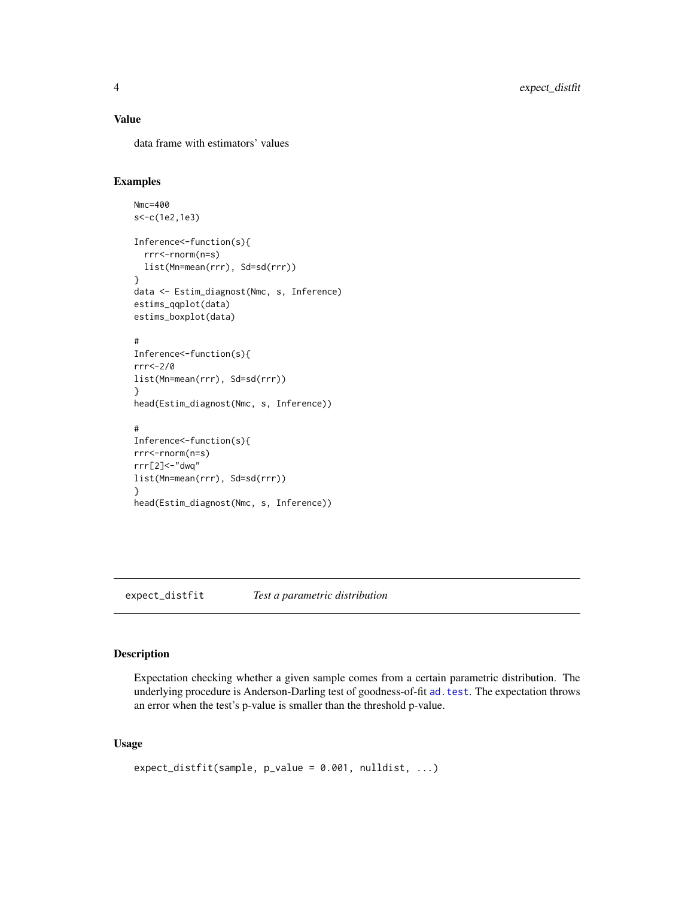#### <span id="page-3-0"></span>Value

data frame with estimators' values

#### Examples

```
Nmc=400
s<-c(1e2,1e3)
Inference<-function(s){
  rrr<-rnorm(n=s)
  list(Mn=mean(rrr), Sd=sd(rrr))
}
data <- Estim_diagnost(Nmc, s, Inference)
estims_qqplot(data)
estims_boxplot(data)
#
Inference<-function(s){
rrr<-2/0
list(Mn=mean(rrr), Sd=sd(rrr))
}
head(Estim_diagnost(Nmc, s, Inference))
#
Inference<-function(s){
rrr<-rnorm(n=s)
rrr[2]<-"dwq"
list(Mn=mean(rrr), Sd=sd(rrr))
}
head(Estim_diagnost(Nmc, s, Inference))
```
expect\_distfit *Test a parametric distribution*

#### Description

Expectation checking whether a given sample comes from a certain parametric distribution. The underlying procedure is Anderson-Darling test of goodness-of-fit ad. test. The expectation throws an error when the test's p-value is smaller than the threshold p-value.

#### Usage

```
expect\_distfit(sample, p_value = 0.001, nulldist, ...)
```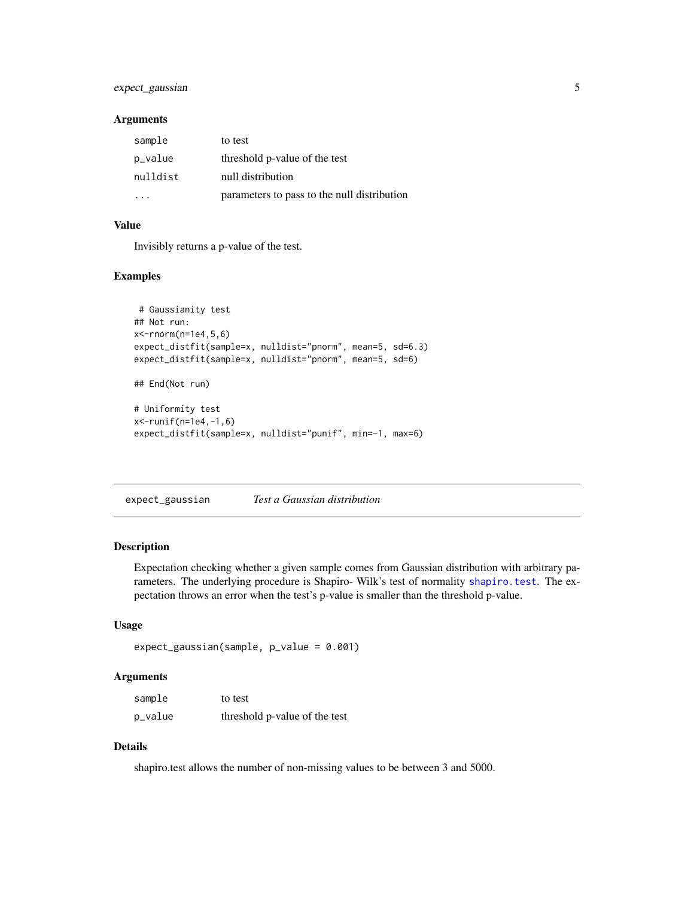#### <span id="page-4-0"></span>expect\_gaussian 5

#### Arguments

| sample   | to test                                     |
|----------|---------------------------------------------|
| p_value  | threshold p-value of the test               |
| nulldist | null distribution                           |
|          | parameters to pass to the null distribution |

#### Value

Invisibly returns a p-value of the test.

#### Examples

```
# Gaussianity test
## Not run:
x<-rnorm(n=1e4,5,6)
expect_distfit(sample=x, nulldist="pnorm", mean=5, sd=6.3)
expect_distfit(sample=x, nulldist="pnorm", mean=5, sd=6)
## End(Not run)
# Uniformity test
x<-runif(n=1e4,-1,6)
expect_distfit(sample=x, nulldist="punif", min=-1, max=6)
```
expect\_gaussian *Test a Gaussian distribution*

#### Description

Expectation checking whether a given sample comes from Gaussian distribution with arbitrary parameters. The underlying procedure is Shapiro- Wilk's test of normality [shapiro.test](#page-0-0). The expectation throws an error when the test's p-value is smaller than the threshold p-value.

#### Usage

```
expect_gaussian(sample, p_value = 0.001)
```
#### Arguments

| sample  | to test                       |
|---------|-------------------------------|
| p_value | threshold p-value of the test |

#### Details

shapiro.test allows the number of non-missing values to be between 3 and 5000.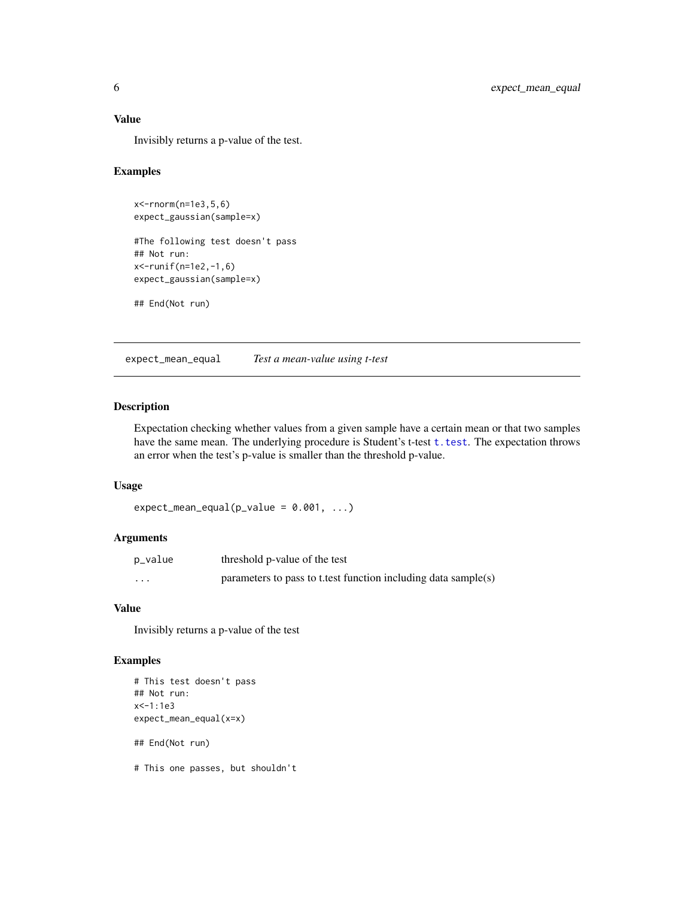#### <span id="page-5-0"></span>Value

Invisibly returns a p-value of the test.

#### Examples

```
x<-rnorm(n=1e3,5,6)
expect_gaussian(sample=x)
```
#The following test doesn't pass ## Not run: x<-runif(n=1e2,-1,6) expect\_gaussian(sample=x)

## End(Not run)

expect\_mean\_equal *Test a mean-value using t-test*

#### Description

Expectation checking whether values from a given sample have a certain mean or that two samples have the same mean. The underlying procedure is Student's t-test [t.test](#page-0-0). The expectation throws an error when the test's p-value is smaller than the threshold p-value.

#### Usage

```
expect_mean_equal(p_value = 0.001, ...)
```
#### Arguments

| p_value  | threshold p-value of the test                                  |
|----------|----------------------------------------------------------------|
| $\cdots$ | parameters to pass to t test function including data sample(s) |

#### Value

Invisibly returns a p-value of the test

#### Examples

```
# This test doesn't pass
## Not run:
x<-1:1e3
expect_mean_equal(x=x)
## End(Not run)
# This one passes, but shouldn't
```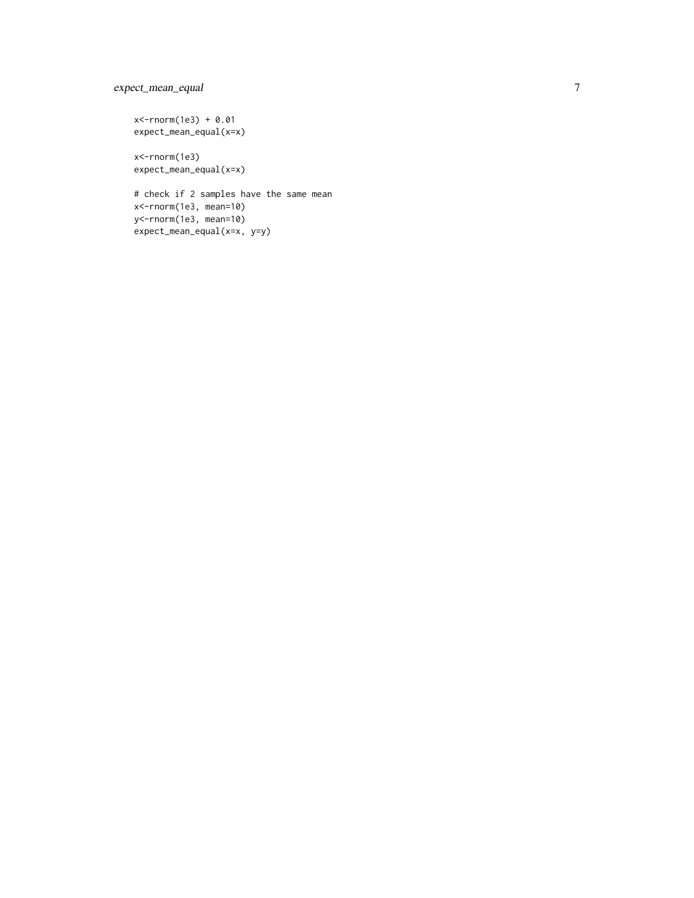#### expect\_mean\_equal

x<-rnorm(1e3) + 0.01 expect\_mean\_equal(x=x)

x<-rnorm(1e3) expect\_mean\_equal(x=x)

# check if 2 samples have the same mean x<-rnorm(1e3, mean=10) y<-rnorm(1e3, mean=10) expect\_mean\_equal(x=x, y=y)